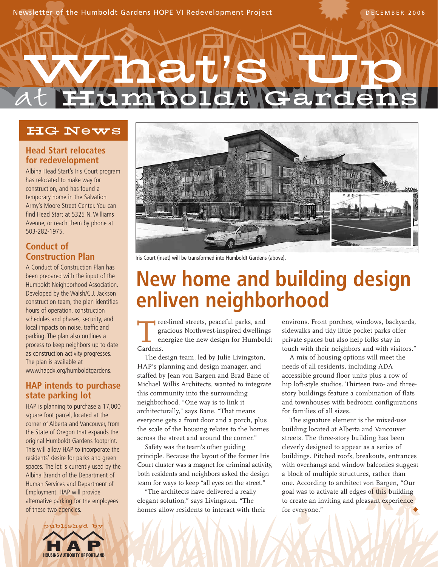## at FI What **'**s Up boldt Gard

### HG News

#### **Head Start relocates for redevelopment**

Albina Head Start's Iris Court program has relocated to make way for construction, and has found a temporary home in the Salvation Army's Moore Street Center. You can find Head Start at 5325 N. Williams Avenue, or reach them by phone at 503-282-1975.

#### **Conduct of Construction Plan**

A Conduct of Construction Plan has been prepared with the input of the Humboldt Neighborhood Association. Developed by the Walsh/C.J. Jackson construction team, the plan identifies hours of operation, construction schedules and phases, security, and local impacts on noise, traffic and parking. The plan also outlines a process to keep neighbors up to date as construction activity progresses. The plan is available at www.hapdx.org/humboldtgardens.

#### **HAP intends to purchase state parking lot**

HAP is planning to purchase a 17,000 square foot parcel, located at the corner of Alberta and Vancouver, from the State of Oregon that expands the original Humboldt Gardens footprint. This will allow HAP to incorporate the residents' desire for parks and green spaces. The lot is currently used by the Albina Branch of the Department of Human Services and Department of Employment. HAP will provide alternative parking for the employees of these two agencies.





Iris Court (inset) will be transformed into Humboldt Gardens (above).

## **New home and building design enliven neighborhood**

Tree-lined streets, peaceful parks, and<br>gracious Northwest-inspired dwelling<br>energize the new design for Humbol<br>Gardens gracious Northwest-inspired dwellings energize the new design for Humboldt Gardens.

The design team, led by Julie Livingston, HAP's planning and design manager, and staffed by Jean von Bargen and Brad Bane of Michael Willis Architects, wanted to integrate this community into the surrounding neighborhood. "One way is to link it architecturally," says Bane. "That means everyone gets a front door and a porch, plus the scale of the housing relates to the homes across the street and around the corner."

Safety was the team's other guiding principle. Because the layout of the former Iris Court cluster was a magnet for criminal activity, both residents and neighbors asked the design team for ways to keep "all eyes on the street."

"The architects have delivered a really elegant solution," says Livingston. "The homes allow residents to interact with their environs. Front porches, windows, backyards, sidewalks and tidy little pocket parks offer private spaces but also help folks stay in touch with their neighbors and with visitors."

A mix of housing options will meet the needs of all residents, including ADA accessible ground floor units plus a row of hip loft-style studios. Thirteen two- and threestory buildings feature a combination of flats and townhouses with bedroom configurations for families of all sizes.

The signature element is the mixed-use building located at Alberta and Vancouver streets. The three-story building has been cleverly designed to appear as a series of buildings. Pitched roofs, breakouts, entrances with overhangs and window balconies suggest a block of multiple structures, rather than one. According to architect von Bargen, "Our goal was to activate all edges of this building to create an inviting and pleasant experience for everyone."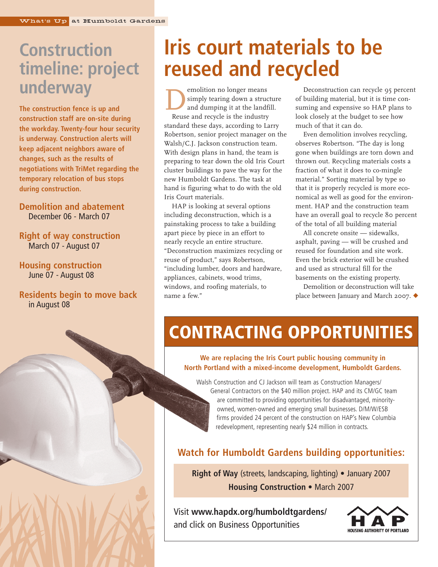## **Construction timeline: project underway**

**The construction fence is up and construction staff are on-site during the workday. Twenty-four hour security is underway. Construction alerts will keep adjacent neighbors aware of changes, such as the results of negotiations with TriMet regarding the temporary relocation of bus stops during construction.**

#### **Demolition and abatement** December 06 - March 07

#### **Right of way construction** March 07 - August 07

#### **Housing construction** June 07 - August 08

#### **Residents begin to move back** in August 08

## **Iris court materials to be reused and recycled**

emolition no longer means<br>simply tearing down a strue<br>and dumping it at the lands<br>Reuse and recycle is the industry simply tearing down a structure and dumping it at the landfill. Reuse and recycle is the industry standard these days, according to Larry Robertson, senior project manager on the Walsh/C.J. Jackson construction team. With design plans in hand, the team is preparing to tear down the old Iris Court cluster buildings to pave the way for the new Humboldt Gardens. The task at hand is figuring what to do with the old Iris Court materials.

HAP is looking at several options including deconstruction, which is a painstaking process to take a building apart piece by piece in an effort to nearly recycle an entire structure. "Deconstruction maximizes recycling or reuse of product," says Robertson, "including lumber, doors and hardware, appliances, cabinets, wood trims, windows, and roofing materials, to name a few."

Deconstruction can recycle 95 percent of building material, but it is time consuming and expensive so HAP plans to look closely at the budget to see how much of that it can do.

Even demolition involves recycling, observes Robertson. "The day is long gone when buildings are torn down and thrown out. Recycling materials costs a fraction of what it does to co-mingle material." Sorting material by type so that it is properly recycled is more economical as well as good for the environment. HAP and the construction team have an overall goal to recycle 80 percent of the total of all building material

All concrete onsite — sidewalks, asphalt, paving — will be crushed and reused for foundation and site work. Even the brick exterior will be crushed and used as structural fill for the basements on the existing property.

Demolition or deconstruction will take place between January and March 2007. ◆

## **CONTRACTING OPPORTUNITIES**

#### **We are replacing the Iris Court public housing community in North Portland with a mixed-income development, Humboldt Gardens.**

Walsh Construction and CJ Jackson will team as Construction Managers/ General Contractors on the \$40 million project. HAP and its CM/GC team are committed to providing opportunities for disadvantaged, minorityowned, women-owned and emerging small businesses. D/M/W/ESB firms provided 24 percent of the construction on HAP's New Columbia redevelopment, representing nearly \$24 million in contracts.

#### **Watch for Humboldt Gardens building opportunities:**

**Right of Way** (streets, landscaping, lighting) • January 2007 **Housing Construction** • March 2007

Visit **www.hapdx.org/humboldtgardens/** and click on Business Opportunities



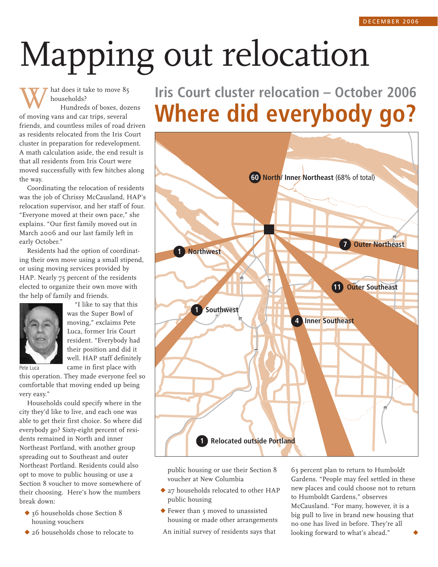# Mapping out relocation

hat does it take to move 85 households?

Hundreds of boxes, dozens of moving vans and car trips, several friends, and countless miles of road driven as residents relocated from the Iris Court cluster in preparation for redevelopment. A math calculation aside, the end result is that all residents from Iris Court were moved successfully with few hitches along the way.

Coordinating the relocation of residents was the job of Chrissy McCausland, HAP's relocation supervisor, and her staff of four. "Everyone moved at their own pace," she explains. "Our first family moved out in March 2006 and our last family left in early October."

Residents had the option of coordinating their own move using a small stipend, or using moving services provided by HAP. Nearly 75 percent of the residents elected to organize their own move with the help of family and friends.



"I like to say that this was the Super Bowl of moving," exclaims Pete Luca, former Iris Court resident. "Everybody had their position and did it well. HAP staff definitely came in first place with

Pete Luca

this operation. They made everyone feel so comfortable that moving ended up being very easy."

Households could specify where in the city they'd like to live, and each one was able to get their first choice. So where did everybody go? Sixty-eight percent of residents remained in North and inner Northeast Portland, with another group spreading out to Southeast and outer Northeast Portland. Residents could also opt to move to public housing or use a Section 8 voucher to move somewhere of their choosing. Here's how the numbers break down:

- ◆ 36 households chose Section 8 housing vouchers
- ◆ 26 households chose to relocate to

**Iris Court cluster relocation – October 2006 Where did everybody go?**



public housing or use their Section 8 voucher at New Columbia

- ◆ 27 households relocated to other HAP public housing
- ◆ Fewer than 5 moved to unassisted housing or made other arrangements

An initial survey of residents says that

63 percent plan to return to Humboldt Gardens. "People may feel settled in these new places and could choose not to return to Humboldt Gardens," observes McCausland. "For many, however, it is a big pull to live in brand new housing that no one has lived in before. They're all looking forward to what's ahead."